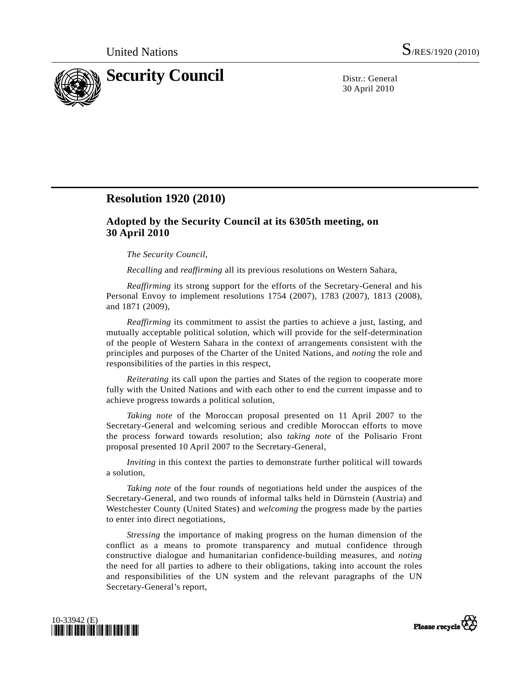

30 April 2010

## **Resolution 1920 (2010)**

## **Adopted by the Security Council at its 6305th meeting, on 30 April 2010**

## *The Security Council*,

*Recalling* and *reaffirming* all its previous resolutions on Western Sahara,

*Reaffirming* its strong support for the efforts of the Secretary-General and his Personal Envoy to implement resolutions 1754 (2007), 1783 (2007), 1813 (2008), and 1871 (2009),

*Reaffirming* its commitment to assist the parties to achieve a just, lasting, and mutually acceptable political solution, which will provide for the self-determination of the people of Western Sahara in the context of arrangements consistent with the principles and purposes of the Charter of the United Nations, and *noting* the role and responsibilities of the parties in this respect,

*Reiterating* its call upon the parties and States of the region to cooperate more fully with the United Nations and with each other to end the current impasse and to achieve progress towards a political solution,

*Taking note* of the Moroccan proposal presented on 11 April 2007 to the Secretary-General and welcoming serious and credible Moroccan efforts to move the process forward towards resolution; also *taking note* of the Polisario Front proposal presented 10 April 2007 to the Secretary-General,

*Inviting* in this context the parties to demonstrate further political will towards a solution,

*Taking note* of the four rounds of negotiations held under the auspices of the Secretary-General, and two rounds of informal talks held in Dürnstein (Austria) and Westchester County (United States) and *welcoming* the progress made by the parties to enter into direct negotiations,

*Stressing* the importance of making progress on the human dimension of the conflict as a means to promote transparency and mutual confidence through constructive dialogue and humanitarian confidence-building measures, and *noting* the need for all parties to adhere to their obligations, taking into account the roles and responsibilities of the UN system and the relevant paragraphs of the UN Secretary-General's report,



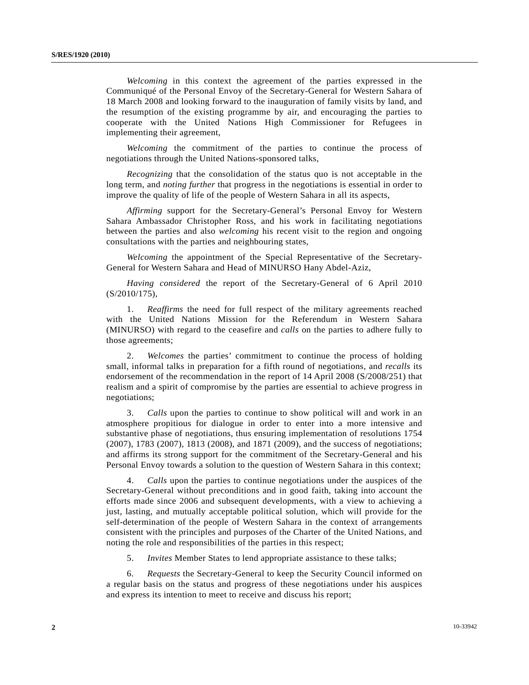*Welcoming* in this context the agreement of the parties expressed in the Communiqué of the Personal Envoy of the Secretary-General for Western Sahara of 18 March 2008 and looking forward to the inauguration of family visits by land, and the resumption of the existing programme by air, and encouraging the parties to cooperate with the United Nations High Commissioner for Refugees in implementing their agreement,

*Welcoming* the commitment of the parties to continue the process of negotiations through the United Nations-sponsored talks,

*Recognizing* that the consolidation of the status quo is not acceptable in the long term, and *noting further* that progress in the negotiations is essential in order to improve the quality of life of the people of Western Sahara in all its aspects,

*Affirming* support for the Secretary-General's Personal Envoy for Western Sahara Ambassador Christopher Ross, and his work in facilitating negotiations between the parties and also *welcoming* his recent visit to the region and ongoing consultations with the parties and neighbouring states,

*Welcoming* the appointment of the Special Representative of the Secretary-General for Western Sahara and Head of MINURSO Hany Abdel-Aziz,

*Having considered* the report of the Secretary-General of 6 April 2010 (S/2010/175),

 1. *Reaffirms* the need for full respect of the military agreements reached with the United Nations Mission for the Referendum in Western Sahara (MINURSO) with regard to the ceasefire and *calls* on the parties to adhere fully to those agreements;

 2. *Welcomes* the parties' commitment to continue the process of holding small, informal talks in preparation for a fifth round of negotiations, and *recalls* its endorsement of the recommendation in the report of 14 April 2008 (S/2008/251) that realism and a spirit of compromise by the parties are essential to achieve progress in negotiations;

 3. *Calls* upon the parties to continue to show political will and work in an atmosphere propitious for dialogue in order to enter into a more intensive and substantive phase of negotiations, thus ensuring implementation of resolutions 1754 (2007), 1783 (2007), 1813 (2008), and 1871 (2009), and the success of negotiations; and affirms its strong support for the commitment of the Secretary-General and his Personal Envoy towards a solution to the question of Western Sahara in this context;

 4. *Calls* upon the parties to continue negotiations under the auspices of the Secretary-General without preconditions and in good faith, taking into account the efforts made since 2006 and subsequent developments, with a view to achieving a just, lasting, and mutually acceptable political solution, which will provide for the self-determination of the people of Western Sahara in the context of arrangements consistent with the principles and purposes of the Charter of the United Nations, and noting the role and responsibilities of the parties in this respect;

5. *Invites* Member States to lend appropriate assistance to these talks;

 6. *Requests* the Secretary-General to keep the Security Council informed on a regular basis on the status and progress of these negotiations under his auspices and express its intention to meet to receive and discuss his report;